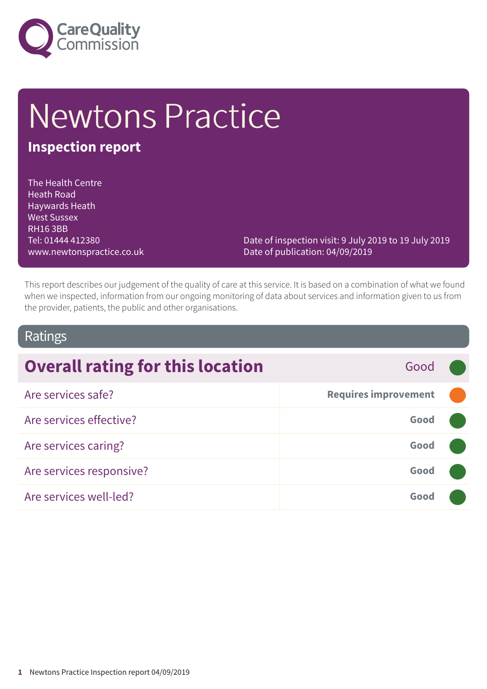

# Newtons Practice

#### **Inspection report**

The Health Centre Heath Road Haywards Heath West Sussex RH16 3BB Tel: 01444 412380 www.newtonspractice.co.uk

Date of inspection visit: 9 July 2019 to 19 July 2019 Date of publication: 04/09/2019

This report describes our judgement of the quality of care at this service. It is based on a combination of what we found when we inspected, information from our ongoing monitoring of data about services and information given to us from the provider, patients, the public and other organisations.

#### Ratings

| <b>Overall rating for this location</b><br>Good |                             |  |
|-------------------------------------------------|-----------------------------|--|
| Are services safe?                              | <b>Requires improvement</b> |  |
| Are services effective?                         | Good                        |  |
| Are services caring?                            | Good                        |  |
| Are services responsive?                        | Good                        |  |
| Are services well-led?                          | Good                        |  |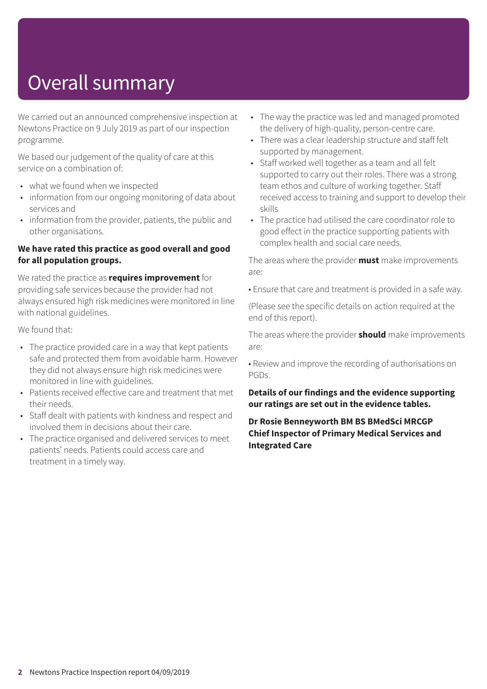## Overall summary

We carried out an announced comprehensive inspection at Newtons Practice on 9 July 2019 as part of our inspection programme.

We based our judgement of the quality of care at this service on a combination of:

- what we found when we inspected
- information from our ongoing monitoring of data about services and
- information from the provider, patients, the public and other organisations.

#### **We have rated this practice as good overall and good for all population groups.**

We rated the practice as **requires improvement** for providing safe services because the provider had not always ensured high risk medicines were monitored in line with national guidelines.

We found that:

- The practice provided care in a way that kept patients safe and protected them from avoidable harm. However they did not always ensure high risk medicines were monitored in line with guidelines.
- Patients received effective care and treatment that met their needs.
- Staff dealt with patients with kindness and respect and involved them in decisions about their care.
- The practice organised and delivered services to meet patients' needs. Patients could access care and treatment in a timely way.
- The way the practice was led and managed promoted the delivery of high-quality, person-centre care.
- There was a clear leadership structure and staff felt supported by management.
- Staff worked well together as a team and all felt supported to carry out their roles. There was a strong team ethos and culture of working together. Staff received access to training and support to develop their skills
- The practice had utilised the care coordinator role to good effect in the practice supporting patients with complex health and social care needs.

The areas where the provider **must** make improvements are:

• Ensure that care and treatment is provided in a safe way.

(Please see the specific details on action required at the end of this report).

The areas where the provider **should** make improvements are:

• Review and improve the recording of authorisations on PGDs.

**Details of our findings and the evidence supporting our ratings are set out in the evidence tables.**

**Dr Rosie Benneyworth BM BS BMedSci MRCGP Chief Inspector of Primary Medical Services and Integrated Care**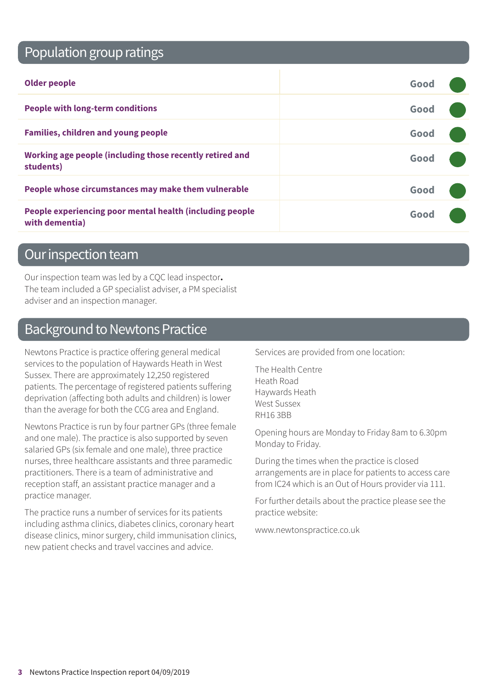### Population group ratings

| <b>Older people</b>                                                        | Good |  |
|----------------------------------------------------------------------------|------|--|
| <b>People with long-term conditions</b>                                    | Good |  |
| <b>Families, children and young people</b>                                 | Good |  |
| Working age people (including those recently retired and<br>students)      | Good |  |
| People whose circumstances may make them vulnerable                        | Good |  |
| People experiencing poor mental health (including people<br>with dementia) | Good |  |

#### Our inspection team

Our inspection team was led by a CQC lead inspector**.** The team included a GP specialist adviser, a PM specialist adviser and an inspection manager.

#### Background to Newtons Practice

Newtons Practice is practice offering general medical services to the population of Haywards Heath in West Sussex. There are approximately 12,250 registered patients. The percentage of registered patients suffering deprivation (affecting both adults and children) is lower than the average for both the CCG area and England.

Newtons Practice is run by four partner GPs (three female and one male). The practice is also supported by seven salaried GPs (six female and one male), three practice nurses, three healthcare assistants and three paramedic practitioners. There is a team of administrative and reception staff, an assistant practice manager and a practice manager.

The practice runs a number of services for its patients including asthma clinics, diabetes clinics, coronary heart disease clinics, minor surgery, child immunisation clinics, new patient checks and travel vaccines and advice.

Services are provided from one location:

The Health Centre Heath Road Haywards Heath West Sussex RH16 3BB

Opening hours are Monday to Friday 8am to 6.30pm Monday to Friday.

During the times when the practice is closed arrangements are in place for patients to access care from IC24 which is an Out of Hours provider via 111.

For further details about the practice please see the practice website:

www.newtonspractice.co.uk